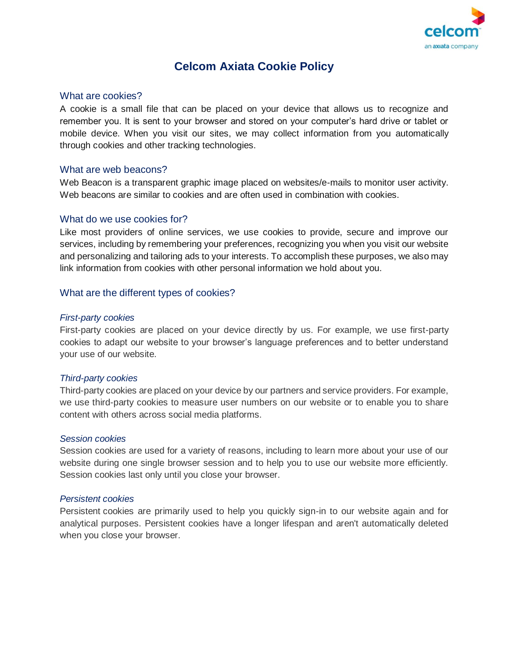

# **Celcom Axiata Cookie Policy**

## What are cookies?

A cookie is a small file that can be placed on your device that allows us to recognize and remember you. It is sent to your browser and stored on your computer's hard drive or tablet or mobile device. When you visit our sites, we may collect information from you automatically through cookies and other tracking technologies.

## What are web beacons?

Web Beacon is a transparent graphic image placed on websites/e-mails to monitor user activity. Web beacons are similar to cookies and are often used in combination with cookies.

## What do we use cookies for?

Like most providers of online services, we use cookies to provide, secure and improve our services, including by remembering your preferences, recognizing you when you visit our website and personalizing and tailoring ads to your interests. To accomplish these purposes, we also may link information from cookies with other personal information we hold about you.

## What are the different types of cookies?

#### *First-party cookies*

First-party cookies are placed on your device directly by us. For example, we use first-party cookies to adapt our website to your browser's language preferences and to better understand your use of our website.

#### *Third-party cookies*

Third-party cookies are placed on your device by our partners and service providers. For example, we use third-party cookies to measure user numbers on our website or to enable you to share content with others across social media platforms.

#### *Session cookies*

Session cookies are used for a variety of reasons, including to learn more about your use of our website during one single browser session and to help you to use our website more efficiently. Session cookies last only until you close your browser.

#### *Persistent cookies*

Persistent cookies are primarily used to help you quickly sign-in to our website again and for analytical purposes. Persistent cookies have a longer lifespan and aren't automatically deleted when you close your browser.